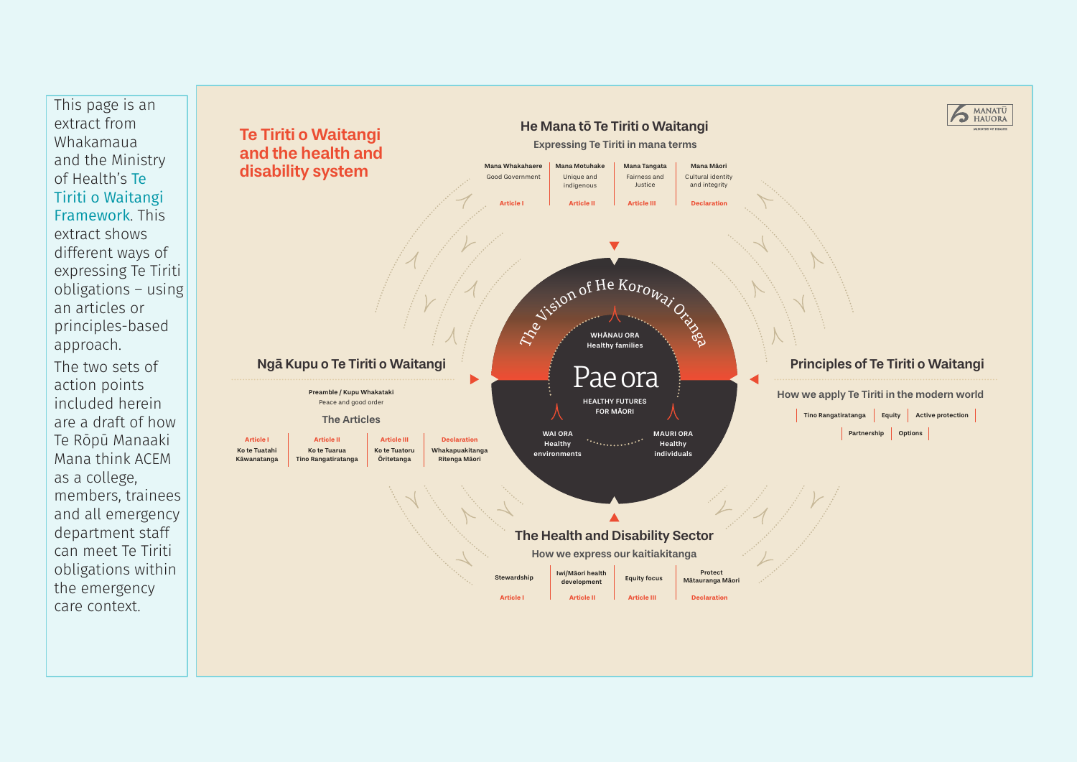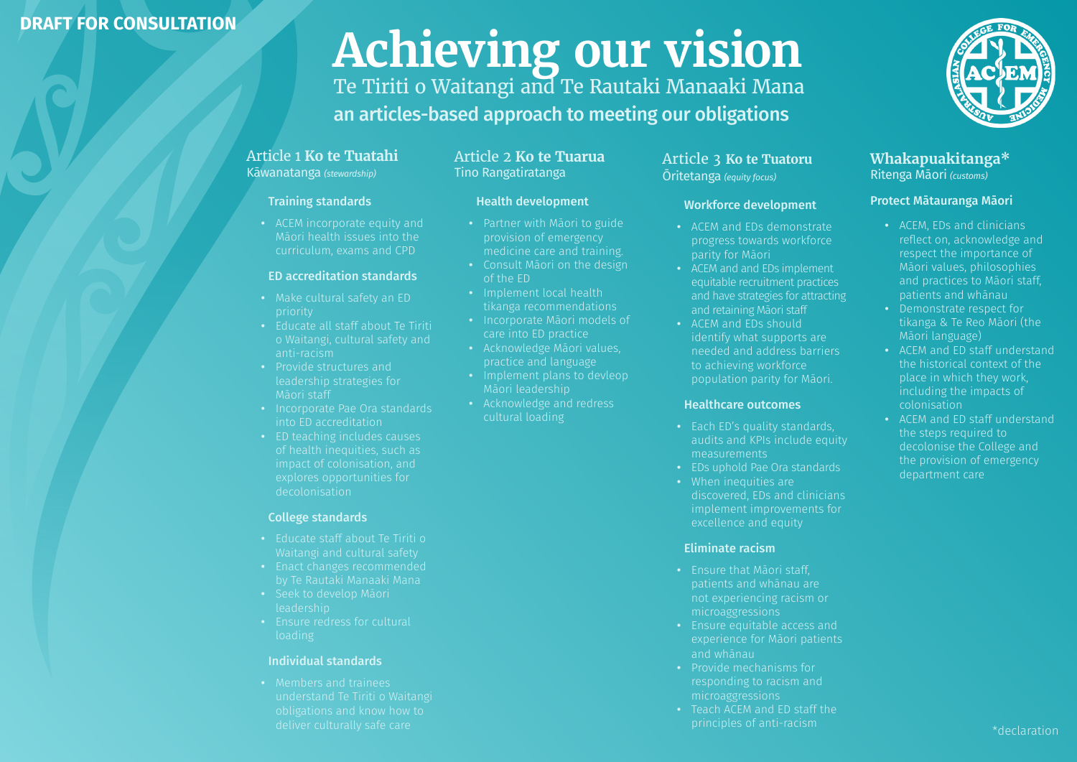## **DRAFT FOR CONSULTATION**

# **Achieving our vision**

Te Tiriti o Waitangi and Te Rautaki Manaaki Mana an articles-based approach to meeting our obligations

#### Article 1 **Ko te Tuatahi** Kāwanatanga *(stewardship)*

#### Training standards

**•** ACEM incorporate equity and Māori health issues into the curriculum, exams and CPD

#### ED accreditation standards

- **•** Make cultural safety an ED priority
- **•** Educate all staff about Te Tiriti o Waitangi, cultural safety and anti-racism
- **•** Provide structures and leadership strategies for Māori staff
- **•** Incorporate Pae Ora standards into ED accreditation
- **•** ED teaching includes causes impact of colonisation, and explores opportunities for decolonisation

#### College standards

- **•** Educate staff about Te Tiriti o Waitangi and cultural safety
- 
- leadership
- 

#### Individual standards

#### Article 2 **Ko te Tuarua** Tino Rangatiratanga

#### Health development

- **•** Partner with Māori to guide provision of emergency medicine care and training.
- **•** Consult Māori on the design of the ED
- **•** Implement local health tikanga recommendations
- **•** Incorporate Māori models of care into ED practice
- **•** Acknowledge Māori values, practice and language
- **•** Implement plans to devleop Māori leadership
- **•** Acknowledge and redress cultural loading

#### Article 3 **Ko te Tuatoru** Ōritetanga *(equity focus)*

#### Workforce development

- **•** ACEM and EDs demonstrate progress towards workforce parity for Māori
- **•** ACEM and and EDs implement equitable recruitment practices and have strategies for attracting and retaining Māori staff
- **•** ACEM and EDs should identify what supports are needed and address barriers to achieving workforce population parity for Māori.

#### Healthcare outcomes

- audits and KPIs include equity measurements
- **•** EDs uphold Pae Ora standards
- **•** When inequities are discovered, EDs and clinicians implement improvements for excellence and equity

#### Eliminate racism

- **•** Ensure that Māori staff, patients and whānau are not experiencing racism or microaggressions
- **•** Ensure equitable access and experience for Māori patients and whānau
- **•** Provide mechanisms for responding to racism and microaggressions
- **•** Teach ACEM and ED staff the principles of anti-racism



#### **Whakapuakitanga\*** Ritenga Māori *(customs)*

#### Protect Mātauranga Māori

- **•** ACEM, EDs and clinicians reflect on, acknowledge and respect the importance of Māori values, philosophies and practices to Māori staff, patients and whānau
- **•** Demonstrate respect for tikanga & Te Reo Māori (the Māori language)
- **•** ACEM and ED staff understand the historical context of the place in which they work, including the impacts of colonisation
- **•** ACEM and ED staff understand the steps required to decolonise the College and the provision of emergency department care